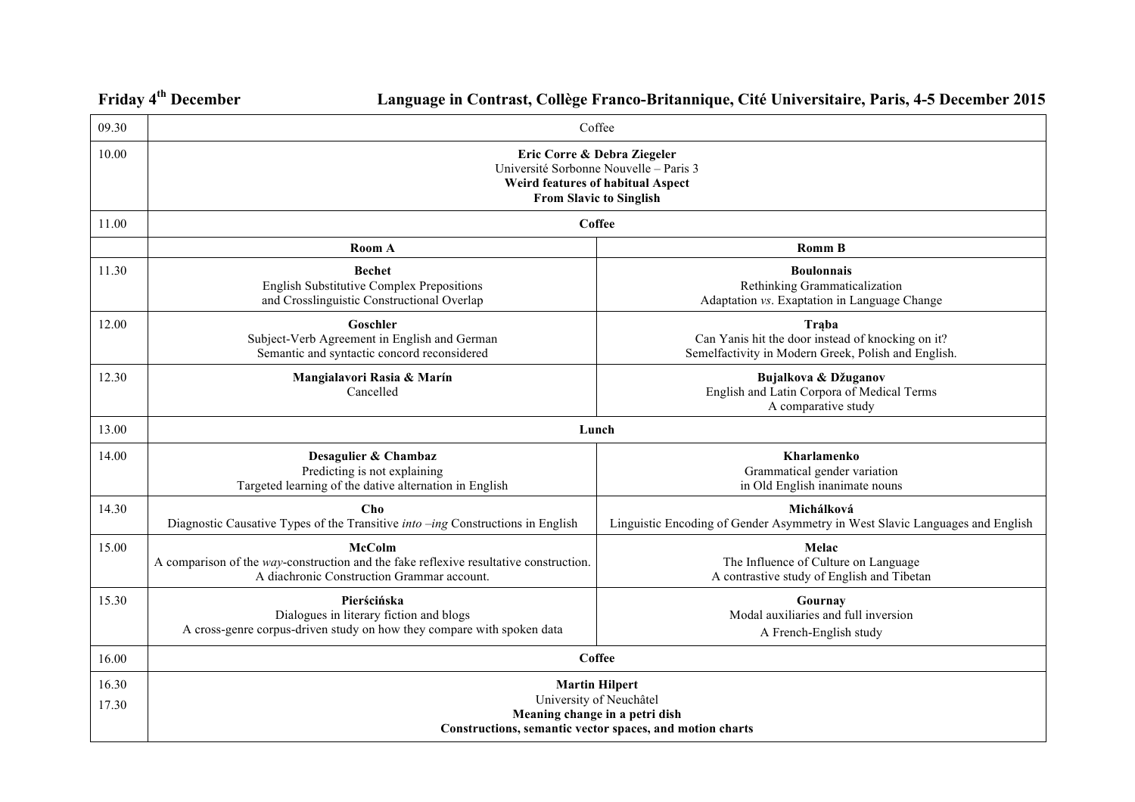**Friday 4th December Language in Contrast, Collège Franco-Britannique, Cité Universitaire, Paris, 4-5 December 2015**

| 09.30          | Coffee                                                                                                                                               |                                                                                                                   |
|----------------|------------------------------------------------------------------------------------------------------------------------------------------------------|-------------------------------------------------------------------------------------------------------------------|
| 10.00          | Eric Corre & Debra Ziegeler<br>Université Sorbonne Nouvelle - Paris 3<br>Weird features of habitual Aspect<br><b>From Slavic to Singlish</b>         |                                                                                                                   |
| 11.00          | <b>Coffee</b>                                                                                                                                        |                                                                                                                   |
|                | Room A                                                                                                                                               | <b>Romm B</b>                                                                                                     |
| 11.30          | <b>Bechet</b><br>English Substitutive Complex Prepositions<br>and Crosslinguistic Constructional Overlap                                             | <b>Boulonnais</b><br>Rethinking Grammaticalization<br>Adaptation vs. Exaptation in Language Change                |
| 12.00          | Goschler<br>Subject-Verb Agreement in English and German<br>Semantic and syntactic concord reconsidered                                              | Traba<br>Can Yanis hit the door instead of knocking on it?<br>Semelfactivity in Modern Greek, Polish and English. |
| 12.30          | Mangialavori Rasia & Marín<br>Cancelled                                                                                                              | Bujalkova & Džuganov<br>English and Latin Corpora of Medical Terms<br>A comparative study                         |
| 13.00          | Lunch                                                                                                                                                |                                                                                                                   |
| 14.00          | Desagulier & Chambaz<br>Predicting is not explaining<br>Targeted learning of the dative alternation in English                                       | <b>Kharlamenko</b><br>Grammatical gender variation<br>in Old English inanimate nouns                              |
| 14.30          | Cho<br>Diagnostic Causative Types of the Transitive into -ing Constructions in English                                                               | Michálková<br>Linguistic Encoding of Gender Asymmetry in West Slavic Languages and English                        |
| 15.00          | <b>McColm</b><br>A comparison of the way-construction and the fake reflexive resultative construction.<br>A diachronic Construction Grammar account. | Melac<br>The Influence of Culture on Language<br>A contrastive study of English and Tibetan                       |
| 15.30          | Pierścińska<br>Dialogues in literary fiction and blogs<br>A cross-genre corpus-driven study on how they compare with spoken data                     | Gournay<br>Modal auxiliaries and full inversion<br>A French-English study                                         |
| 16.00          | <b>Coffee</b>                                                                                                                                        |                                                                                                                   |
| 16.30<br>17.30 | <b>Martin Hilpert</b><br>University of Neuchâtel<br>Meaning change in a petri dish<br>Constructions, semantic vector spaces, and motion charts       |                                                                                                                   |